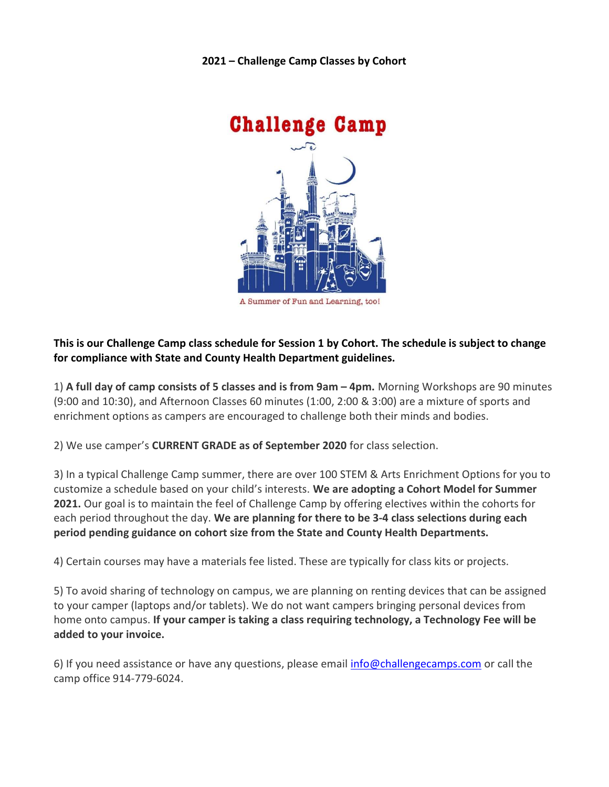2021 – Challenge Camp Classes by Cohort



# This is our Challenge Camp class schedule for Session 1 by Cohort. The schedule is subject to change for compliance with State and County Health Department guidelines.

1) A full day of camp consists of 5 classes and is from 9am – 4pm. Morning Workshops are 90 minutes (9:00 and 10:30), and Afternoon Classes 60 minutes (1:00, 2:00 & 3:00) are a mixture of sports and enrichment options as campers are encouraged to challenge both their minds and bodies.

2) We use camper's CURRENT GRADE as of September 2020 for class selection.

3) In a typical Challenge Camp summer, there are over 100 STEM & Arts Enrichment Options for you to customize a schedule based on your child's interests. We are adopting a Cohort Model for Summer 2021. Our goal is to maintain the feel of Challenge Camp by offering electives within the cohorts for each period throughout the day. We are planning for there to be 3-4 class selections during each period pending guidance on cohort size from the State and County Health Departments.

4) Certain courses may have a materials fee listed. These are typically for class kits or projects.

5) To avoid sharing of technology on campus, we are planning on renting devices that can be assigned to your camper (laptops and/or tablets). We do not want campers bringing personal devices from home onto campus. If your camper is taking a class requiring technology, a Technology Fee will be added to your invoice.

6) If you need assistance or have any questions, please email info@challengecamps.com or call the camp office 914-779-6024.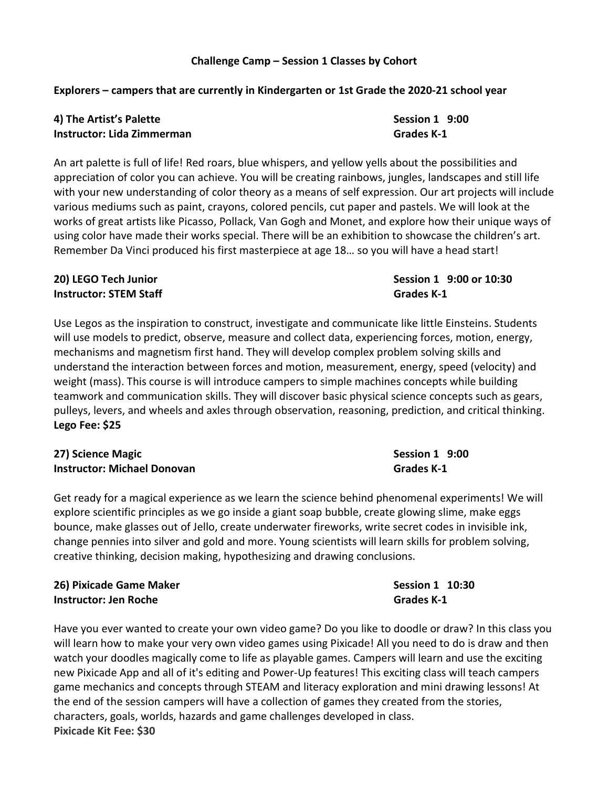#### Challenge Camp – Session 1 Classes by Cohort

#### Explorers – campers that are currently in Kindergarten or 1st Grade the 2020-21 school year

### 4) The Artist's Palette **Session 1** 9:00 Instructor: Lida Zimmerman Grades K-1

An art palette is full of life! Red roars, blue whispers, and yellow yells about the possibilities and appreciation of color you can achieve. You will be creating rainbows, jungles, landscapes and still life with your new understanding of color theory as a means of self expression. Our art projects will include various mediums such as paint, crayons, colored pencils, cut paper and pastels. We will look at the works of great artists like Picasso, Pollack, Van Gogh and Monet, and explore how their unique ways of using color have made their works special. There will be an exhibition to showcase the children's art. Remember Da Vinci produced his first masterpiece at age 18… so you will have a head start!

#### 20) LEGO Tech Junior **Session 1 9:00 or 10:30 Instructor: STEM Staff Grades K-1**

Use Legos as the inspiration to construct, investigate and communicate like little Einsteins. Students will use models to predict, observe, measure and collect data, experiencing forces, motion, energy, mechanisms and magnetism first hand. They will develop complex problem solving skills and understand the interaction between forces and motion, measurement, energy, speed (velocity) and weight (mass). This course is will introduce campers to simple machines concepts while building teamwork and communication skills. They will discover basic physical science concepts such as gears, pulleys, levers, and wheels and axles through observation, reasoning, prediction, and critical thinking. Lego Fee: \$25

### 27) Science Magic **Network Session 1 9:00** Instructor: Michael Donovan Grades K-1

Get ready for a magical experience as we learn the science behind phenomenal experiments! We will explore scientific principles as we go inside a giant soap bubble, create glowing slime, make eggs bounce, make glasses out of Jello, create underwater fireworks, write secret codes in invisible ink, change pennies into silver and gold and more. Young scientists will learn skills for problem solving, creative thinking, decision making, hypothesizing and drawing conclusions.

### 26) Pixicade Game Maker National Communication of the Session 1 10:30 Instructor: Jen Roche Grades K-1

Have you ever wanted to create your own video game? Do you like to doodle or draw? In this class you will learn how to make your very own video games using Pixicade! All you need to do is draw and then watch your doodles magically come to life as playable games. Campers will learn and use the exciting new Pixicade App and all of it's editing and Power-Up features! This exciting class will teach campers game mechanics and concepts through STEAM and literacy exploration and mini drawing lessons! At the end of the session campers will have a collection of games they created from the stories, characters, goals, worlds, hazards and game challenges developed in class. Pixicade Kit Fee: \$30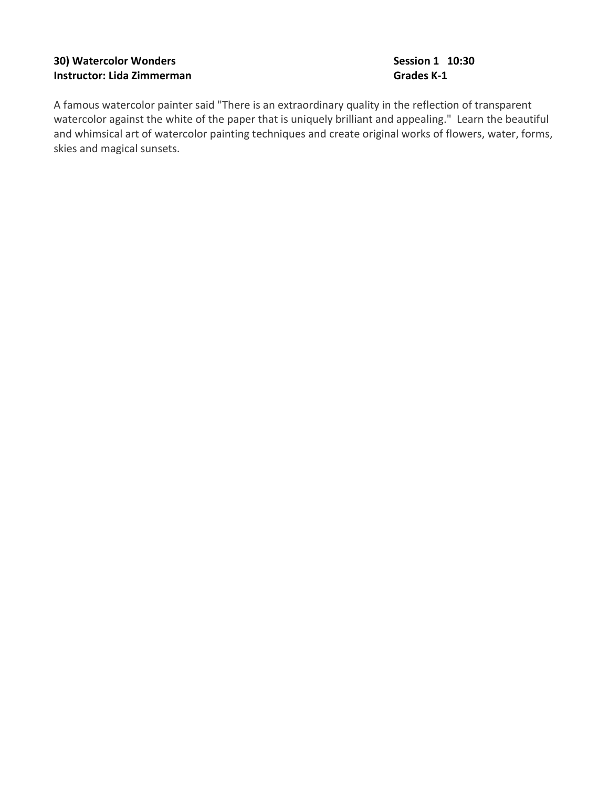### 30) Watercolor Wonders **Session 1 10:30** Session 1 10:30 Instructor: Lida Zimmerman Grades K-1

A famous watercolor painter said "There is an extraordinary quality in the reflection of transparent watercolor against the white of the paper that is uniquely brilliant and appealing." Learn the beautiful and whimsical art of watercolor painting techniques and create original works of flowers, water, forms, skies and magical sunsets.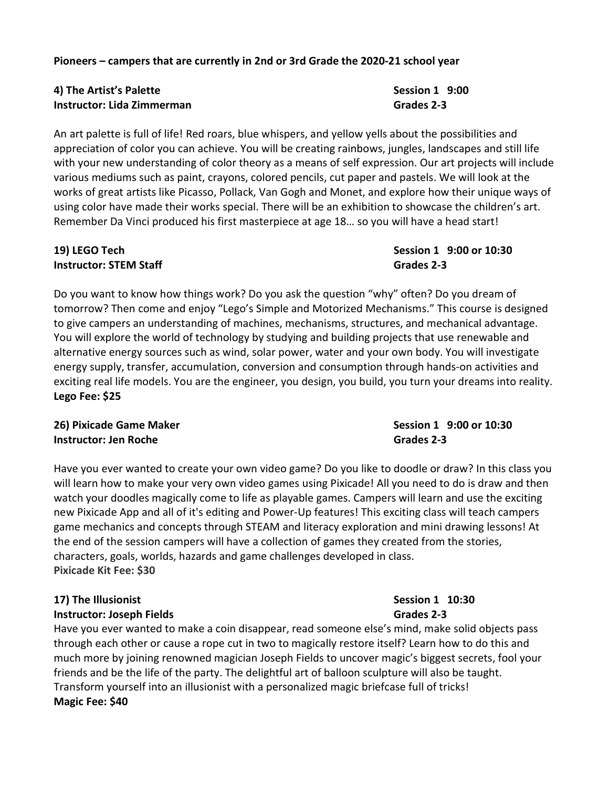Pioneers – campers that are currently in 2nd or 3rd Grade the 2020-21 school year

### 4) The Artist's Palette New York 19:00 Session 1 9:00 **Instructor: Lida Zimmerman Grades 2-3** Grades 2-3

An art palette is full of life! Red roars, blue whispers, and yellow yells about the possibilities and appreciation of color you can achieve. You will be creating rainbows, jungles, landscapes and still life with your new understanding of color theory as a means of self expression. Our art projects will include various mediums such as paint, crayons, colored pencils, cut paper and pastels. We will look at the works of great artists like Picasso, Pollack, Van Gogh and Monet, and explore how their unique ways of using color have made their works special. There will be an exhibition to showcase the children's art. Remember Da Vinci produced his first masterpiece at age 18… so you will have a head start!

# 19) LEGO Tech Session 1 9:00 or 10:30 **Instructor: STEM Staff Grades 2-3**

Do you want to know how things work? Do you ask the question "why" often? Do you dream of tomorrow? Then come and enjoy "Lego's Simple and Motorized Mechanisms." This course is designed to give campers an understanding of machines, mechanisms, structures, and mechanical advantage. You will explore the world of technology by studying and building projects that use renewable and alternative energy sources such as wind, solar power, water and your own body. You will investigate energy supply, transfer, accumulation, conversion and consumption through hands-on activities and exciting real life models. You are the engineer, you design, you build, you turn your dreams into reality. Lego Fee: \$25

# 26) Pixicade Game Maker **Session 1 9:00 or 10:30 Instructor: Jen Roche** Grades 2-3

Have you ever wanted to create your own video game? Do you like to doodle or draw? In this class you will learn how to make your very own video games using Pixicade! All you need to do is draw and then watch your doodles magically come to life as playable games. Campers will learn and use the exciting new Pixicade App and all of it's editing and Power-Up features! This exciting class will teach campers game mechanics and concepts through STEAM and literacy exploration and mini drawing lessons! At the end of the session campers will have a collection of games they created from the stories, characters, goals, worlds, hazards and game challenges developed in class. Pixicade Kit Fee: \$30

# 17) The Illusionist Communication Communication Communication Communication Communication Communication Communication Communication Communication Communication Communication Communication Communication Communication Commun **Instructor: Joseph Fields Grades 2-3**

Have you ever wanted to make a coin disappear, read someone else's mind, make solid objects pass through each other or cause a rope cut in two to magically restore itself? Learn how to do this and much more by joining renowned magician Joseph Fields to uncover magic's biggest secrets, fool your friends and be the life of the party. The delightful art of balloon sculpture will also be taught. Transform yourself into an illusionist with a personalized magic briefcase full of tricks! Magic Fee: \$40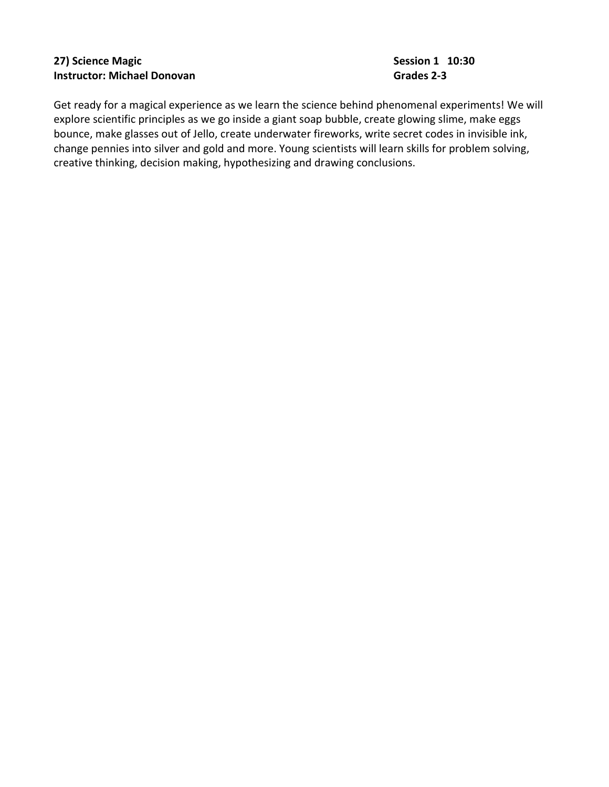# 27) Science Magic **National Session 1 10:30** Instructor: Michael Donovan Grades 2-3

Get ready for a magical experience as we learn the science behind phenomenal experiments! We will explore scientific principles as we go inside a giant soap bubble, create glowing slime, make eggs bounce, make glasses out of Jello, create underwater fireworks, write secret codes in invisible ink, change pennies into silver and gold and more. Young scientists will learn skills for problem solving, creative thinking, decision making, hypothesizing and drawing conclusions.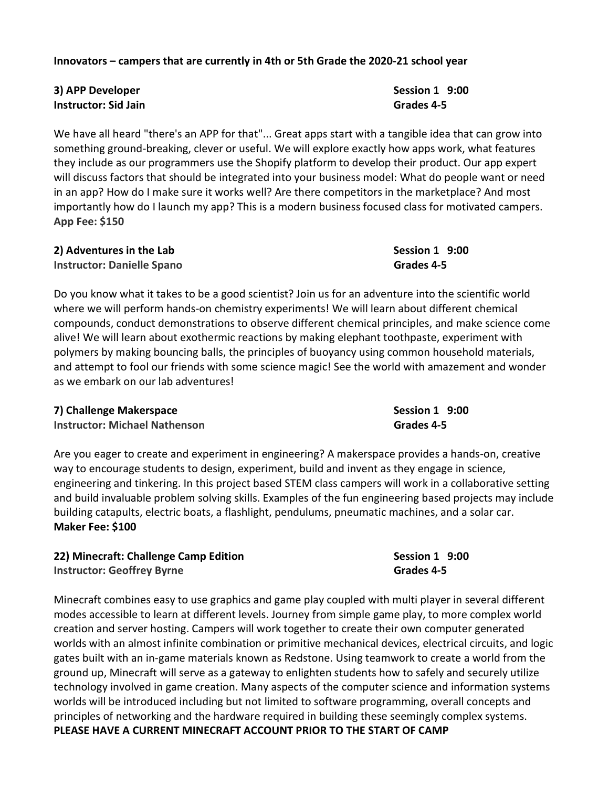#### Innovators – campers that are currently in 4th or 5th Grade the 2020-21 school year

3) APP Developer Session 1 9:00 Instructor: Sid Jain Grades 4-5

We have all heard "there's an APP for that"... Great apps start with a tangible idea that can grow into something ground-breaking, clever or useful. We will explore exactly how apps work, what features they include as our programmers use the Shopify platform to develop their product. Our app expert will discuss factors that should be integrated into your business model: What do people want or need in an app? How do I make sure it works well? Are there competitors in the marketplace? And most importantly how do I launch my app? This is a modern business focused class for motivated campers. App Fee: \$150

2) Adventures in the Lab Session 1 9:00 Instructor: Danielle Spano Grades 4-5

Do you know what it takes to be a good scientist? Join us for an adventure into the scientific world where we will perform hands-on chemistry experiments! We will learn about different chemical compounds, conduct demonstrations to observe different chemical principles, and make science come alive! We will learn about exothermic reactions by making elephant toothpaste, experiment with polymers by making bouncing balls, the principles of buoyancy using common household materials, and attempt to fool our friends with some science magic! See the world with amazement and wonder as we embark on our lab adventures!

#### 7) Challenge Makerspace **Session 1** 9:00

Instructor: Michael Nathenson Grades 4-5

Are you eager to create and experiment in engineering? A makerspace provides a hands-on, creative way to encourage students to design, experiment, build and invent as they engage in science, engineering and tinkering. In this project based STEM class campers will work in a collaborative setting and build invaluable problem solving skills. Examples of the fun engineering based projects may include building catapults, electric boats, a flashlight, pendulums, pneumatic machines, and a solar car. Maker Fee: \$100

| 22) Minecraft: Challenge Camp Edition | Session 1 9:00 |
|---------------------------------------|----------------|
| <b>Instructor: Geoffrey Byrne</b>     | Grades 4-5     |

Minecraft combines easy to use graphics and game play coupled with multi player in several different modes accessible to learn at different levels. Journey from simple game play, to more complex world creation and server hosting. Campers will work together to create their own computer generated worlds with an almost infinite combination or primitive mechanical devices, electrical circuits, and logic gates built with an in-game materials known as Redstone. Using teamwork to create a world from the ground up, Minecraft will serve as a gateway to enlighten students how to safely and securely utilize technology involved in game creation. Many aspects of the computer science and information systems worlds will be introduced including but not limited to software programming, overall concepts and principles of networking and the hardware required in building these seemingly complex systems. PLEASE HAVE A CURRENT MINECRAFT ACCOUNT PRIOR TO THE START OF CAMP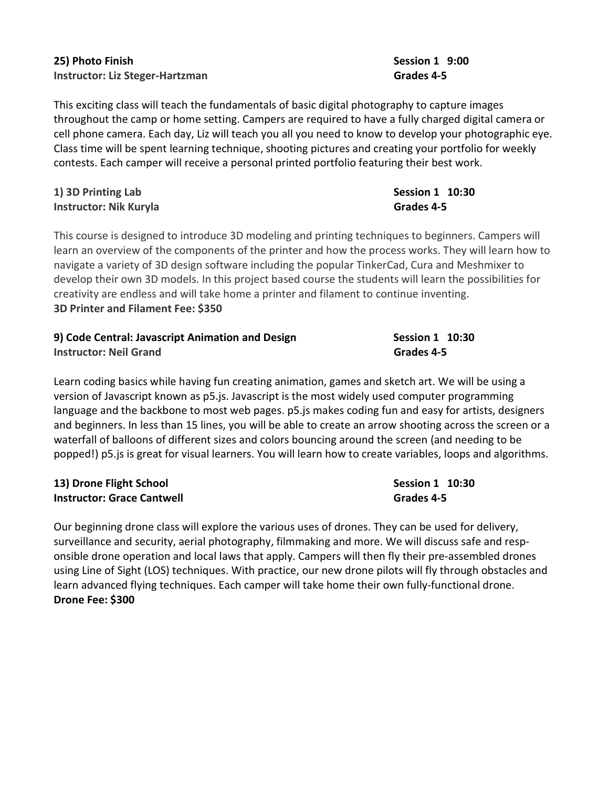# 25) Photo Finish Session 1 9:00 Instructor: Liz Steger-Hartzman Grades 4-5

This exciting class will teach the fundamentals of basic digital photography to capture images throughout the camp or home setting. Campers are required to have a fully charged digital camera or cell phone camera. Each day, Liz will teach you all you need to know to develop your photographic eye. Class time will be spent learning technique, shooting pictures and creating your portfolio for weekly contests. Each camper will receive a personal printed portfolio featuring their best work.

# 1) 3D Printing Lab Session 1 10:30 Instructor: Nik Kuryla **Grades 4-5**

This course is designed to introduce 3D modeling and printing techniques to beginners. Campers will learn an overview of the components of the printer and how the process works. They will learn how to navigate a variety of 3D design software including the popular TinkerCad, Cura and Meshmixer to develop their own 3D models. In this project based course the students will learn the possibilities for creativity are endless and will take home a printer and filament to continue inventing. 3D Printer and Filament Fee: \$350

| 9) Code Central: Javascript Animation and Design | Session 1 <b>10:30</b> |  |
|--------------------------------------------------|------------------------|--|
| <b>Instructor: Neil Grand</b>                    | Grades 4-5             |  |

Learn coding basics while having fun creating animation, games and sketch art. We will be using a version of Javascript known as p5.js. Javascript is the most widely used computer programming language and the backbone to most web pages. p5.js makes coding fun and easy for artists, designers and beginners. In less than 15 lines, you will be able to create an arrow shooting across the screen or a waterfall of balloons of different sizes and colors bouncing around the screen (and needing to be popped!) p5.js is great for visual learners. You will learn how to create variables, loops and algorithms.

# 13) Drone Flight School Session 1 10:30 Instructor: Grace Cantwell Grades 4-5

Our beginning drone class will explore the various uses of drones. They can be used for delivery, surveillance and security, aerial photography, filmmaking and more. We will discuss safe and responsible drone operation and local laws that apply. Campers will then fly their pre-assembled drones using Line of Sight (LOS) techniques. With practice, our new drone pilots will fly through obstacles and learn advanced flying techniques. Each camper will take home their own fully-functional drone. Drone Fee: \$300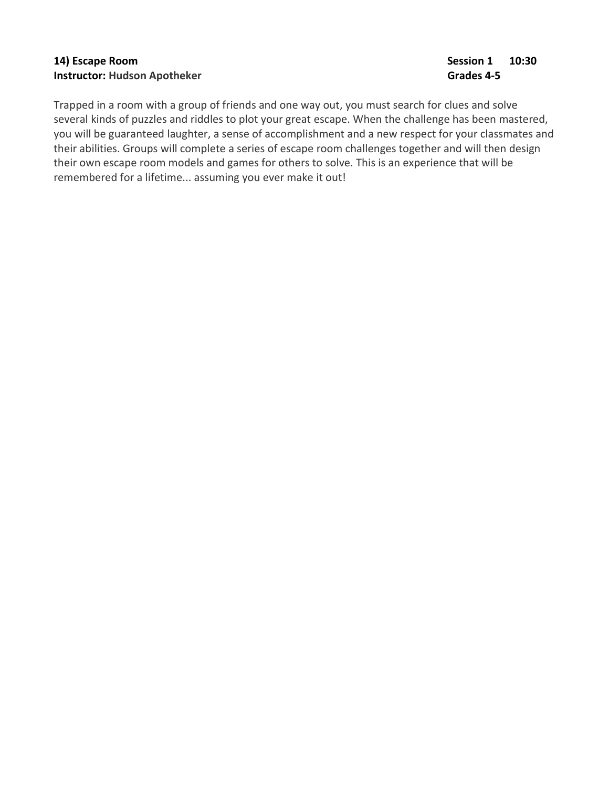# 14) Escape Room Session 1 20:30 Instructor: Hudson Apotheker Grades 4-5

Trapped in a room with a group of friends and one way out, you must search for clues and solve several kinds of puzzles and riddles to plot your great escape. When the challenge has been mastered, you will be guaranteed laughter, a sense of accomplishment and a new respect for your classmates and their abilities. Groups will complete a series of escape room challenges together and will then design their own escape room models and games for others to solve. This is an experience that will be remembered for a lifetime... assuming you ever make it out!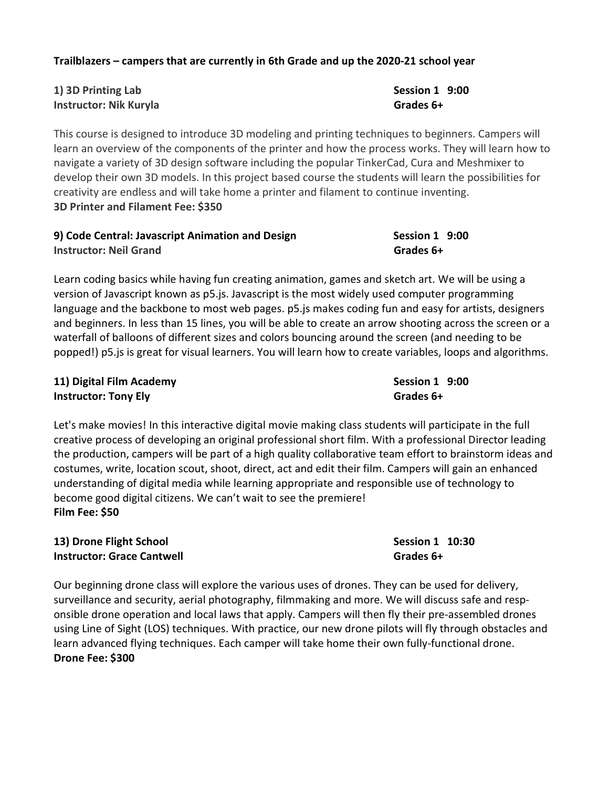#### Trailblazers – campers that are currently in 6th Grade and up the 2020-21 school year

| 1) 3D Printing Lab            | <b>Session 1</b> |
|-------------------------------|------------------|
| <b>Instructor: Nik Kuryla</b> | Grades 6+        |

This course is designed to introduce 3D modeling and printing techniques to beginners. Campers will learn an overview of the components of the printer and how the process works. They will learn how to navigate a variety of 3D design software including the popular TinkerCad, Cura and Meshmixer to develop their own 3D models. In this project based course the students will learn the possibilities for creativity are endless and will take home a printer and filament to continue inventing. 3D Printer and Filament Fee: \$350

| 9) Code Central: Javascript Animation and Design | Session 1 9:00 |
|--------------------------------------------------|----------------|
| <b>Instructor: Neil Grand</b>                    | Grades 6+      |

Learn coding basics while having fun creating animation, games and sketch art. We will be using a version of Javascript known as p5.js. Javascript is the most widely used computer programming language and the backbone to most web pages. p5.js makes coding fun and easy for artists, designers and beginners. In less than 15 lines, you will be able to create an arrow shooting across the screen or a waterfall of balloons of different sizes and colors bouncing around the screen (and needing to be popped!) p5.js is great for visual learners. You will learn how to create variables, loops and algorithms.

| 11) Digital Film Academy    | Session 1 9:00 |  |
|-----------------------------|----------------|--|
| <b>Instructor: Tony Ely</b> | Grades 6+      |  |

Let's make movies! In this interactive digital movie making class students will participate in the full creative process of developing an original professional short film. With a professional Director leading the production, campers will be part of a high quality collaborative team effort to brainstorm ideas and costumes, write, location scout, shoot, direct, act and edit their film. Campers will gain an enhanced understanding of digital media while learning appropriate and responsible use of technology to become good digital citizens. We can't wait to see the premiere! Film Fee: \$50

### 13) Drone Flight School Session 1 10:30 Instructor: Grace Cantwell Grades 6+

Our beginning drone class will explore the various uses of drones. They can be used for delivery, surveillance and security, aerial photography, filmmaking and more. We will discuss safe and responsible drone operation and local laws that apply. Campers will then fly their pre-assembled drones using Line of Sight (LOS) techniques. With practice, our new drone pilots will fly through obstacles and learn advanced flying techniques. Each camper will take home their own fully-functional drone. Drone Fee: \$300

# Session  $1$  9:00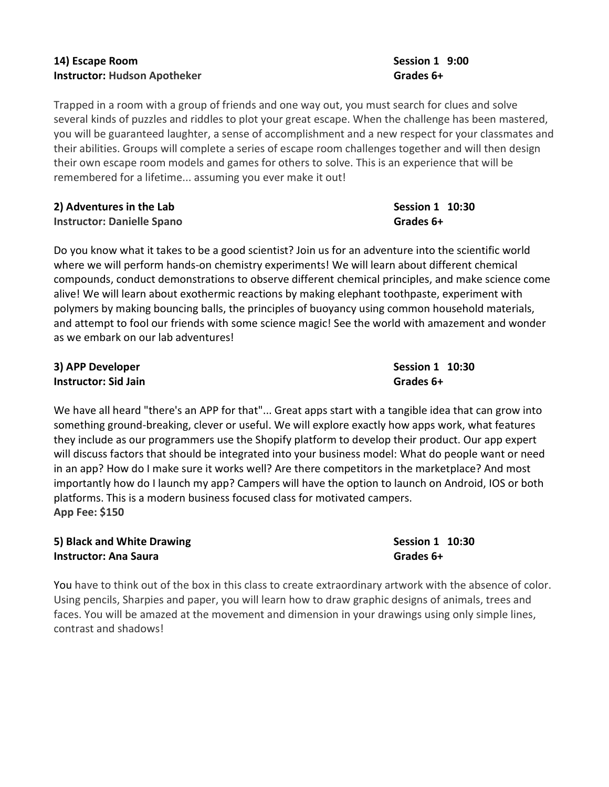# 14) Escape Room Session 1 9:00 Instructor: Hudson Apotheker Grades 6+

Trapped in a room with a group of friends and one way out, you must search for clues and solve several kinds of puzzles and riddles to plot your great escape. When the challenge has been mastered, you will be guaranteed laughter, a sense of accomplishment and a new respect for your classmates and their abilities. Groups will complete a series of escape room challenges together and will then design their own escape room models and games for others to solve. This is an experience that will be remembered for a lifetime... assuming you ever make it out!

### 2) Adventures in the Lab Session 1 10:30 Instructor: Danielle Spano Grades 6+

Do you know what it takes to be a good scientist? Join us for an adventure into the scientific world where we will perform hands-on chemistry experiments! We will learn about different chemical compounds, conduct demonstrations to observe different chemical principles, and make science come alive! We will learn about exothermic reactions by making elephant toothpaste, experiment with polymers by making bouncing balls, the principles of buoyancy using common household materials, and attempt to fool our friends with some science magic! See the world with amazement and wonder as we embark on our lab adventures!

# 3) APP Developer Session 1 10:30 Instructor: Sid Jain Grades 6+

We have all heard "there's an APP for that"... Great apps start with a tangible idea that can grow into something ground-breaking, clever or useful. We will explore exactly how apps work, what features they include as our programmers use the Shopify platform to develop their product. Our app expert will discuss factors that should be integrated into your business model: What do people want or need in an app? How do I make sure it works well? Are there competitors in the marketplace? And most importantly how do I launch my app? Campers will have the option to launch on Android, IOS or both platforms. This is a modern business focused class for motivated campers. App Fee: \$150

### 5) Black and White Drawing Session 1 10:30 Instructor: Ana Saura Grades 6+

You have to think out of the box in this class to create extraordinary artwork with the absence of color. Using pencils, Sharpies and paper, you will learn how to draw graphic designs of animals, trees and faces. You will be amazed at the movement and dimension in your drawings using only simple lines, contrast and shadows!